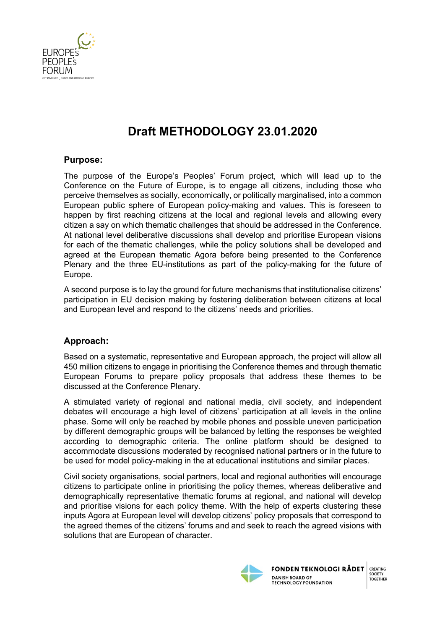

# **Draft METHODOLOGY 23.01.2020**

# **Purpose:**

The purpose of the Europe's Peoples' Forum project, which will lead up to the Conference on the Future of Europe, is to engage all citizens, including those who perceive themselves as socially, economically, or politically marginalised, into a common European public sphere of European policy-making and values. This is foreseen to happen by first reaching citizens at the local and regional levels and allowing every citizen a say on which thematic challenges that should be addressed in the Conference. At national level deliberative discussions shall develop and prioritise European visions for each of the thematic challenges, while the policy solutions shall be developed and agreed at the European thematic Agora before being presented to the Conference Plenary and the three EU-institutions as part of the policy-making for the future of Europe.

A second purpose is to lay the ground for future mechanisms that institutionalise citizens' participation in EU decision making by fostering deliberation between citizens at local and European level and respond to the citizens' needs and priorities.

# **Approach:**

Based on a systematic, representative and European approach, the project will allow all 450 million citizens to engage in prioritising the Conference themes and through thematic European Forums to prepare policy proposals that address these themes to be discussed at the Conference Plenary.

A stimulated variety of regional and national media, civil society, and independent debates will encourage a high level of citizens' participation at all levels in the online phase. Some will only be reached by mobile phones and possible uneven participation by different demographic groups will be balanced by letting the responses be weighted according to demographic criteria. The online platform should be designed to accommodate discussions moderated by recognised national partners or in the future to be used for model policy-making in the at educational institutions and similar places.

Civil society organisations, social partners, local and regional authorities will encourage citizens to participate online in prioritising the policy themes, whereas deliberative and demographically representative thematic forums at regional, and national will develop and prioritise visions for each policy theme. With the help of experts clustering these inputs Agora at European level will develop citizens' policy proposals that correspond to the agreed themes of the citizens' forums and and seek to reach the agreed visions with solutions that are European of character.



**FONDEN TEKNOLOGI RÅDET DANISH BOARD OF TECHNOLOGY FOUNDATION**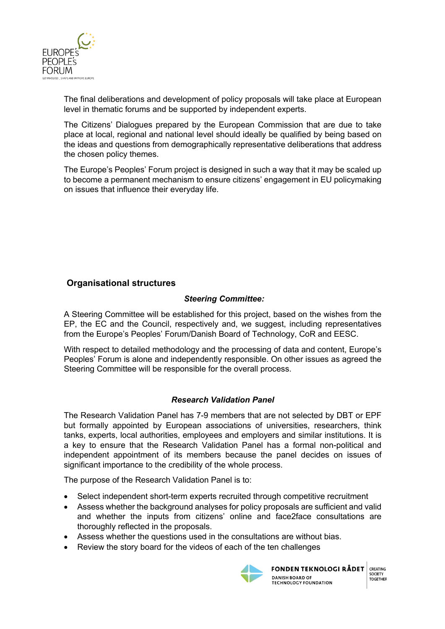

The final deliberations and development of policy proposals will take place at European level in thematic forums and be supported by independent experts.

The Citizens' Dialogues prepared by the European Commission that are due to take place at local, regional and national level should ideally be qualified by being based on the ideas and questions from demographically representative deliberations that address the chosen policy themes.

The Europe's Peoples' Forum project is designed in such a way that it may be scaled up to become a permanent mechanism to ensure citizens' engagement in EU policymaking on issues that influence their everyday life.

# **Organisational structures**

# *Steering Committee:*

A Steering Committee will be established for this project, based on the wishes from the EP, the EC and the Council, respectively and, we suggest, including representatives from the Europe's Peoples' Forum/Danish Board of Technology, CoR and EESC.

With respect to detailed methodology and the processing of data and content, Europe's Peoples' Forum is alone and independently responsible. On other issues as agreed the Steering Committee will be responsible for the overall process.

# *Research Validation Panel*

The Research Validation Panel has 7-9 members that are not selected by DBT or EPF but formally appointed by European associations of universities, researchers, think tanks, experts, local authorities, employees and employers and similar institutions. It is a key to ensure that the Research Validation Panel has a formal non-political and independent appointment of its members because the panel decides on issues of significant importance to the credibility of the whole process.

The purpose of the Research Validation Panel is to:

- Select independent short-term experts recruited through competitive recruitment
- Assess whether the background analyses for policy proposals are sufficient and valid and whether the inputs from citizens' online and face2face consultations are thoroughly reflected in the proposals.
- Assess whether the questions used in the consultations are without bias.
- Review the story board for the videos of each of the ten challenges



**FONDEN TEKNOLOGI RÅDET DANISH BOARD OF TECHNOLOGY FOUNDATION** 

CREATING SOCIETY **JOCILII**<br>TOGETHER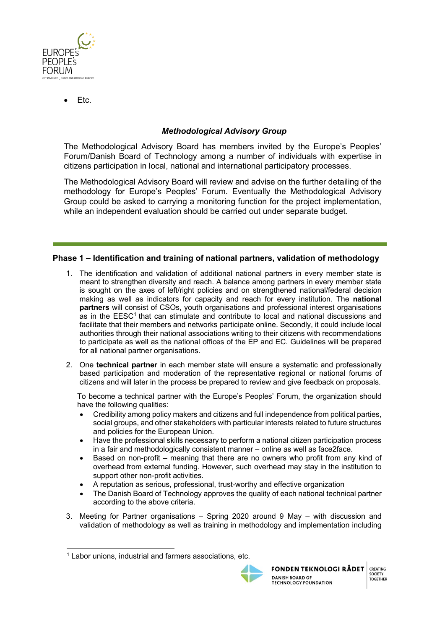

• Etc.

# *Methodological Advisory Group*

The Methodological Advisory Board has members invited by the Europe's Peoples' Forum/Danish Board of Technology among a number of individuals with expertise in citizens participation in local, national and international participatory processes.

The Methodological Advisory Board will review and advise on the further detailing of the methodology for Europe's Peoples' Forum*.* Eventually the Methodological Advisory Group could be asked to carrying a monitoring function for the project implementation, while an independent evaluation should be carried out under separate budget.

## **Phase 1 – Identification and training of national partners, validation of methodology**

- 1. The identification and validation of additional national partners in every member state is meant to strengthen diversity and reach. A balance among partners in every member state is sought on the axes of left/right policies and on strengthened national/federal decision making as well as indicators for capacity and reach for every institution. The **national partners** will consist of CSOs, youth organisations and professional interest organisations as in the EESC<sup>1</sup> that can stimulate and contribute to local and national discussions and facilitate that their members and networks participate online. Secondly, it could include local authorities through their national associations writing to their citizens with recommendations to participate as well as the national offices of the EP and EC. Guidelines will be prepared for all national partner organisations.
- 2. One **technical partner** in each member state will ensure a systematic and professionally based participation and moderation of the representative regional or national forums of citizens and will later in the process be prepared to review and give feedback on proposals.

To become a technical partner with the Europe's Peoples' Forum, the organization should have the following qualities:

- Credibility among policy makers and citizens and full independence from political parties, social groups, and other stakeholders with particular interests related to future structures and policies for the European Union.
- Have the professional skills necessary to perform a national citizen participation process in a fair and methodologically consistent manner – online as well as face2face.
- Based on non-profit meaning that there are no owners who profit from any kind of overhead from external funding. However, such overhead may stay in the institution to support other non-profit activities.
- A reputation as serious, professional, trust-worthy and effective organization
- The Danish Board of Technology approves the quality of each national technical partner according to the above criteria.
- 3. Meeting for Partner organisations Spring 2020 around 9 May with discussion and validation of methodology as well as training in methodology and implementation including

<sup>&</sup>lt;sup>1</sup> Labor unions, industrial and farmers associations, etc.

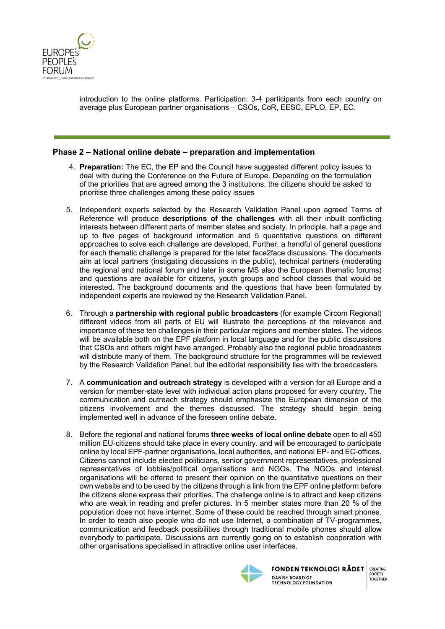

introduction to the online platforms. Participation: 3-4 participants from each country on average plus European partner organisations – CSOs, CoR, EESC, EPLO, EP, EC.

#### **Phase 2 – National online debate – preparation and implementation**

- 4. **Preparation:** The EC, the EP and the Council have suggested different policy issues to deal with during the Conference on the Future of Europe. Depending on the formulation of the priorities that are agreed among the 3 institutions, the citizens should be asked to prioritise three challenges among these policy issues
- 5. Independent experts selected by the Research Validation Panel upon agreed Terms of Reference will produce **descriptions of the challenges** with all their inbuilt conflicting interests between different parts of member states and society. In principle, half a page and up to five pages of background information and 5 quantitative questions on different approaches to solve each challenge are developed. Further, a handful of general questions for each thematic challenge is prepared for the later face2face discussions. The documents aim at local partners (instigating discussions in the public), technical partners (moderating the regional and national forum and later in some MS also the European thematic forums) and questions are available for citizens, youth groups and school classes that would be interested. The background documents and the questions that have been formulated by independent experts are reviewed by the Research Validation Panel.
- 6. Through a **partnership with regional public broadcasters** (for example Circom Regional) different videos from all parts of EU will illustrate the perceptions of the relevance and importance of these ten challenges in their particular regions and member states. The videos will be available both on the EPF platform in local language and for the public discussions that CSOs and others might have arranged. Probably also the regional public broadcasters will distribute many of them. The background structure for the programmes will be reviewed by the Research Validation Panel, but the editorial responsibility lies with the broadcasters.
- 7. A **communication and outreach strategy** is developed with a version for all Europe and a version for member-state level with individual action plans proposed for every country. The communication and outreach strategy should emphasize the European dimension of the citizens involvement and the themes discussed. The strategy should begin being implemented well in advance of the foreseen online debate.
- 8. Before the regional and national forums **three weeks of local online debate** open to all 450 million EU-citizens should take place in every country. and will be encouraged to participate online by local EPF-partner organisations, local authorities, and national EP- and EC-offices. Citizens cannot include elected politicians, senior government representatives, professional representatives of lobbies/political organisations and NGOs. The NGOs and interest organisations will be offered to present their opinion on the quantitative questions on their own website and to be used by the citizens through a link from the EPF online platform before the citizens alone express their priorities. The challenge online is to attract and keep citizens who are weak in reading and prefer pictures. In 5 member states more than 20 % of the population does not have internet. Some of these could be reached through smart phones. In order to reach also people who do not use Internet, a combination of TV-programmes, communication and feedback possibilities through traditional mobile phones should allow everybody to participate. Discussions are currently going on to establish cooperation with other organisations specialised in attractive online user interfaces.



**FONDEN TEKNOLOGI RÅDET DANISH BOARD OF TECHNOLOGY FOUNDATION** 

CREATING SOCIETY

**TOGETHER**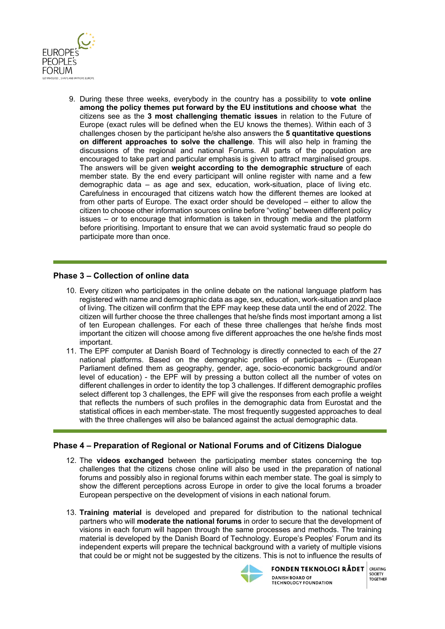

9. During these three weeks, everybody in the country has a possibility to **vote online among the policy themes put forward by the EU institutions and choose what** the citizens see as the **3 most challenging thematic issues** in relation to the Future of Europe (exact rules will be defined when the EU knows the themes). Within each of 3 challenges chosen by the participant he/she also answers the **5 quantitative questions on different approaches to solve the challenge**. This will also help in framing the discussions of the regional and national Forums. All parts of the population are encouraged to take part and particular emphasis is given to attract marginalised groups. The answers will be given **weight according to the demographic structure** of each member state. By the end every participant will online register with name and a few demographic data – as age and sex, education, work-situation, place of living etc. Carefulness in encouraged that citizens watch how the different themes are looked at from other parts of Europe. The exact order should be developed – either to allow the citizen to choose other information sources online before "voting" between different policy issues – or to encourage that information is taken in through media and the platform before prioritising. Important to ensure that we can avoid systematic fraud so people do participate more than once.

#### **Phase 3 – Collection of online data**

- 10. Every citizen who participates in the online debate on the national language platform has registered with name and demographic data as age, sex, education, work-situation and place of living. The citizen will confirm that the EPF may keep these data until the end of 2022. The citizen will further choose the three challenges that he/she finds most important among a list of ten European challenges. For each of these three challenges that he/she finds most important the citizen will choose among five different approaches the one he/she finds most important.
- 11. The EPF computer at Danish Board of Technology is directly connected to each of the 27 national platforms. Based on the demographic profiles of participants – (European Parliament defined them as geography, gender, age, socio-economic background and/or level of education) - the EPF will by pressing a button collect all the number of votes on different challenges in order to identity the top 3 challenges. If different demographic profiles select different top 3 challenges, the EPF will give the responses from each profile a weight that reflects the numbers of such profiles in the demographic data from Eurostat and the statistical offices in each member-state. The most frequently suggested approaches to deal with the three challenges will also be balanced against the actual demographic data.

#### **Phase 4 – Preparation of Regional or National Forums and of Citizens Dialogue**

- 12. The **videos exchanged** between the participating member states concerning the top challenges that the citizens chose online will also be used in the preparation of national forums and possibly also in regional forums within each member state. The goal is simply to show the different perceptions across Europe in order to give the local forums a broader European perspective on the development of visions in each national forum.
- 13. **Training material** is developed and prepared for distribution to the national technical partners who will **moderate the national forums** in order to secure that the development of visions in each forum will happen through the same processes and methods. The training material is developed by the Danish Board of Technology. Europe's Peoples' Forum and its independent experts will prepare the technical background with a variety of multiple visions that could be or might not be suggested by the citizens. This is not to influence the results of



**FONDEN TEKNOLOGI RÅDET** CREATING SOCIETY **DANISH BOARD OF TOGETHER TECHNOLOGY FOUNDATION**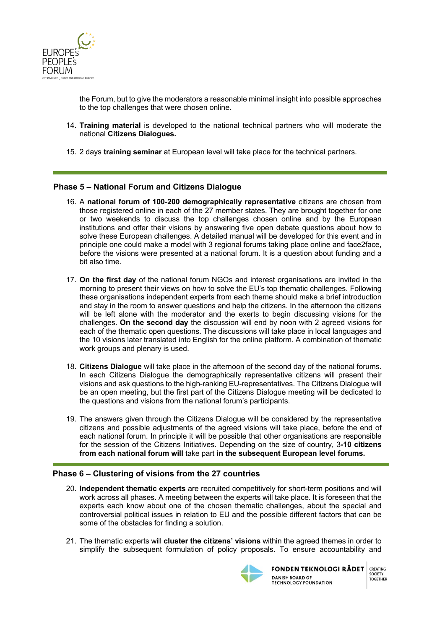

the Forum, but to give the moderators a reasonable minimal insight into possible approaches to the top challenges that were chosen online.

- 14. **Training material** is developed to the national technical partners who will moderate the national **Citizens Dialogues.**
- 15. 2 days **training seminar** at European level will take place for the technical partners.

## **Phase 5 – National Forum and Citizens Dialogue**

- 16. A **national forum of 100-200 demographically representative** citizens are chosen from those registered online in each of the 27 member states. They are brought together for one or two weekends to discuss the top challenges chosen online and by the European institutions and offer their visions by answering five open debate questions about how to solve these European challenges. A detailed manual will be developed for this event and in principle one could make a model with 3 regional forums taking place online and face2face, before the visions were presented at a national forum. It is a question about funding and a bit also time.
- 17. **On the first day** of the national forum NGOs and interest organisations are invited in the morning to present their views on how to solve the EU's top thematic challenges. Following these organisations independent experts from each theme should make a brief introduction and stay in the room to answer questions and help the citizens. In the afternoon the citizens will be left alone with the moderator and the exerts to begin discussing visions for the challenges. **On the second day** the discussion will end by noon with 2 agreed visions for each of the thematic open questions. The discussions will take place in local languages and the 10 visions later translated into English for the online platform. A combination of thematic work groups and plenary is used.
- 18. **Citizens Dialogue** will take place in the afternoon of the second day of the national forums. In each Citizens Dialogue the demographically representative citizens will present their visions and ask questions to the high-ranking EU-representatives. The Citizens Dialogue will be an open meeting, but the first part of the Citizens Dialogue meeting will be dedicated to the questions and visions from the national forum's participants.
- 19. The answers given through the Citizens Dialogue will be considered by the representative citizens and possible adjustments of the agreed visions will take place, before the end of each national forum. In principle it will be possible that other organisations are responsible for the session of the Citizens Initiatives. Depending on the size of country, 3**-10 citizens from each national forum will** take part **in the subsequent European level forums.**

#### **Phase 6 – Clustering of visions from the 27 countries**

- 20. **Independent thematic experts** are recruited competitively for short-term positions and will work across all phases. A meeting between the experts will take place. It is foreseen that the experts each know about one of the chosen thematic challenges, about the special and controversial political issues in relation to EU and the possible different factors that can be some of the obstacles for finding a solution.
- 21. The thematic experts will **cluster the citizens' visions** within the agreed themes in order to simplify the subsequent formulation of policy proposals. To ensure accountability and



**FONDEN TEKNOLOGI RÅDET DANISH BOARD OF TECHNOLOGY FOUNDATION**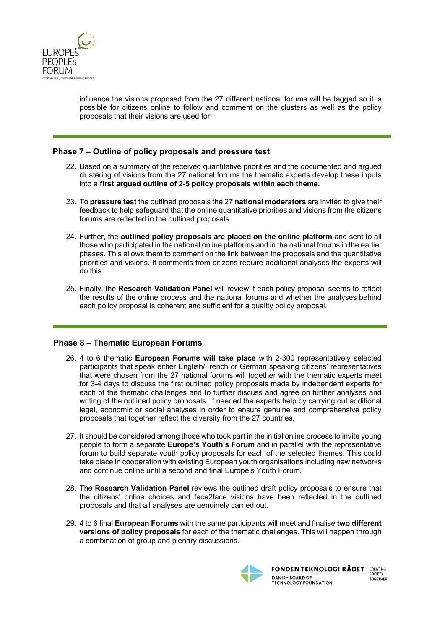

influence the visions proposed from the 27 different national forums will be tagged so it is possible for citizens online to follow and comment on the clusters as well as the policy proposals that their visions are used for.

## **Phase 7 – Outline of policy proposals and pressure test**

- 22. Based on a summary of the received quantitative priorities and the documented and argued clustering of visions from the 27 national forums the thematic experts develop these inputs into a **first argued outline of 2-5 policy proposals within each theme.**
- 23. To **pressure test** the outlined proposals the 27 **national moderators** are invited to give their feedback to help safeguard that the online quantitative priorities and visions from the citizens forums are reflected in the outlined proposals.
- 24. Further, the **outlined policy proposals are placed on the online platform** and sent to all those who participated in the national online platforms and in the national forums in the earlier phases. This allows them to comment on the link between the proposals and the quantitative priorities and visions. If comments from citizens require additional analyses the experts will do this.
- 25. Finally, the **Research Validation Panel** will review if each policy proposal seems to reflect the results of the online process and the national forums and whether the analyses behind each policy proposal is coherent and sufficient for a quality policy proposal.

#### **Phase 8 – Thematic European Forums**

- 26. 4 to 6 thematic **European Forums will take place** with 2-300 representatively selected participants that speak either English/French or German speaking citizens' representatives that were chosen from the 27 national forums will together with the thematic experts meet for 3-4 days to discuss the first outlined policy proposals made by independent experts for each of the thematic challenges and to further discuss and agree on further analyses and writing of the outlined policy proposals. If needed the experts help by carrying out additional legal, economic or social analyses in order to ensure genuine and comprehensive policy proposals that together reflect the diversity from the 27 countries.
- 27. It should be considered among those who took part in the initial online process to invite young people to form a separate **Europe's Youth's Forum** and in parallel with the representative forum to build separate youth policy proposals for each of the selected themes. This could take place in cooperation with existing European youth organisations including new networks and continue online until a second and final Europe's Youth Forum.
- 28. The **Research Validation Panel** reviews the outlined draft policy proposals to ensure that the citizens' online choices and face2face visions have been reflected in the outlined proposals and that all analyses are genuinely carried out.
- 29. 4 to 6 final **European Forums** with the same participants will meet and finalise **two different versions of policy proposals** for each of the thematic challenges. This will happen through a combination of group and plenary discussions.



**FONDEN TEKNOLOGI RÅDET DANISH BOARD OF TECHNOLOGY FOUNDATION**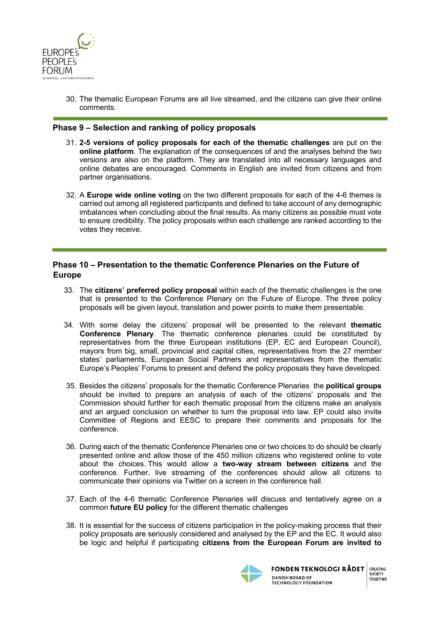

30. The thematic European Forums are all live streamed, and the citizens can give their online comments.

#### **Phase 9 – Selection and ranking of policy proposals**

- 31. **2-5 versions of policy proposals for each of the thematic challenges** are put on the **online platform**. The explanation of the consequences of and the analyses behind the two versions are also on the platform. They are translated into all necessary languages and online debates are encouraged. Comments in English are invited from citizens and from partner organisations.
- 32. A **Europe wide online voting** on the two different proposals for each of the 4-6 themes is carried out among all registered participants and defined to take account of any demographic imbalances when concluding about the final results. As many citizens as possible must vote to ensure credibility. The policy proposals within each challenge are ranked according to the votes they receive.

## **Phase 10 – Presentation to the thematic Conference Plenaries on the Future of Europe**

- 33. The **citizens' preferred policy proposal** within each of the thematic challenges is the one that is presented to the Conference Plenary on the Future of Europe. The three policy proposals will be given layout, translation and power points to make them presentable.
- 34. With some delay the citizens' proposal will be presented to the relevant **thematic Conference Plenary**. The thematic conference plenaries could be constituted by representatives from the three European institutions (EP, EC and European Council), mayors from big, small, provincial and capital cities, representatives from the 27 member states' parliaments, European Social Partners and representatives from the thematic Europe's Peoples' Forums to present and defend the policy proposals they have developed.
- 35. Besides the citizens' proposals for the thematic Conference Plenaries the **political groups** should be invited to prepare an analysis of each of the citizens' proposals and the Commission should further for each thematic proposal from the citizens make an analysis and an argued conclusion on whether to turn the proposal into law. EP could also invite Committee of Regions and EESC to prepare their comments and proposals for the conference.
- 36. During each of the thematic Conference Plenaries one or two choices to do should be clearly presented online and allow those of the 450 million citizens who registered online to vote about the choices. This would allow a **two-way stream between citizens** and the conference. Further, live streaming of the conferences should allow all citizens to communicate their opinions via Twitter on a screen in the conference hall.
- 37. Each of the 4-6 thematic Conference Plenaries will discuss and tentatively agree on a common **future EU policy** for the different thematic challenges
- 38. It is essential for the success of citizens participation in the policy-making process that their policy proposals are seriously considered and analysed by the EP and the EC. It would also be logic and helpful if participating **citizens from the European Forum are invited to**



**FONDEN TEKNOLOGI RÅDET DANISH BOARD OF TECHNOLOGY FOUNDATION** 

CREATING SOCIETY

**TOGETHER**